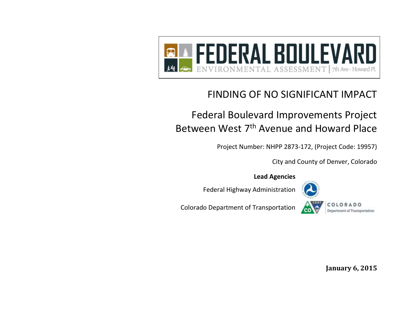

# FINDING OF NO SIGNIFICANT IMPACT

# Federal Boulevard Improvements Project Between West 7<sup>th</sup> Avenue and Howard Place

Project Number: NHPP 2873-172, (Project Code: 19957)

City and County of Denver, Colorado

**Lead Agencies**

Federal Highway Administration



Colorado Department of Transportation



**January 6, 2015**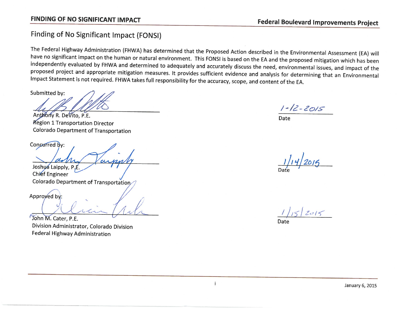## Finding of No Significant Impact (FONSI)

The Federal Highway Administration (FHWA) has determined that the Proposed Action described in the Environmental Assessment (EA) will have no significant impact on the human or natural environment. This FONSI is based on the EA and the proposed mitigation which has been independently evaluated by FHWA and determined to adequately and accurately discuss the need, environmental issues, and impact of the proposed project and appropriate mitigation measures. It provides sufficient evidence and analysis for determining that an Environmental Impact Statement is not required. FHWA takes full responsibility for the accuracy, scope, and content of the EA.

 $\mathbf{i}$ 

Submitted by:

Anthony R. Devito, P.E. **Region 1 Transportation Director Colorado Department of Transportation** 

Concurred by:

Joshua Laipply, P.E. **Chief Engineer** Colorado Department of Transportation

Approved by:

John M. Cater, P.E. Division Administrator, Colorado Division Federal Highway Administration

 $1 - 12 - 2015$ 

Date

 $2015$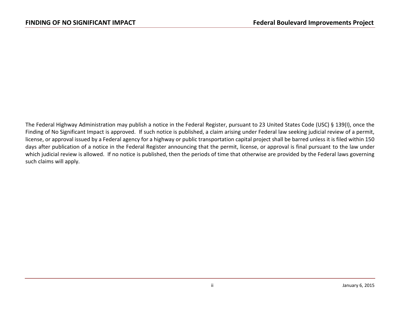The Federal Highway Administration may publish a notice in the Federal Register, pursuant to 23 United States Code (USC) § 139(I), once the Finding of No Significant Impact is approved. If such notice is published, a claim arising under Federal law seeking judicial review of a permit, license, or approval issued by a Federal agency for a highway or public transportation capital project shall be barred unless it is filed within 150 days after publication of a notice in the Federal Register announcing that the permit, license, or approval is final pursuant to the law under which judicial review is allowed. If no notice is published, then the periods of time that otherwise are provided by the Federal laws governing such claims will apply.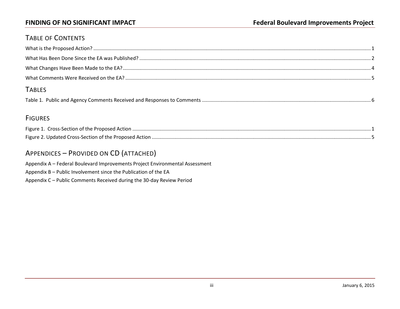### TABLE OF CONTENTS

| <b>TABLES</b> |  |
|---------------|--|
|               |  |

### **FIGURES**

| Figure 1. Cross-Section of the Proposed Action          |  |
|---------------------------------------------------------|--|
| Figure 2. Updated Cross-Section of the Proposed Action. |  |

### APPENDICES – PROVIDED ON CD (ATTACHED)

Appendix A – Federal Boulevard Improvements Project Environmental Assessment Appendix B – Public Involvement since the Publication of the EA Appendix C – Public Comments Received during the 30-day Review Period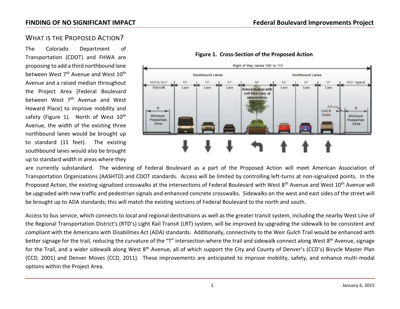### <span id="page-6-0"></span>WHAT IS THE PROPOSED ACTION?

The Colorado Department of Transportation (CDOT) and FHWA are proposing to add a third northbound lane between West 7<sup>th</sup> Avenue and West 10<sup>th</sup> Avenue and a raised median throughout the Project Area [Federal Boulevard between West 7<sup>th</sup> Avenue and West Howard Place] to improve mobility and safety (Figure 1). North of West  $10<sup>th</sup>$ Avenue, the width of the existing three northbound lanes would be brought up to standard (11 feet). The existing southbound lanes would also be brought up to standard width in areas where they



### **Figure 1. Cross-Section of the Proposed Action**

are currently substandard. The widening of Federal Boulevard as a part of the Proposed Action will meet American Association of Transportation Organizations (AASHTO) and CDOT standards. Access will be limited by controlling left-turns at non-signalized points. In the Proposed Action, the existing signalized crosswalks at the intersections of Federal Boulevard with West 8<sup>th</sup> Avenue and West 10<sup>th</sup> Avenue will be upgraded with new traffic and pedestrian signals and enhanced concrete crosswalks. Sidewalks on the west and east sides of the street will be brought up to ADA standards; this will match the existing sections of Federal Boulevard to the north and south.

Access to bus service, which connects to local and regional destinations as well as the greater transit system, including the nearby West Line of the Regional Transportation District's (RTD's) Light Rail Transit (LRT) system, will be improved by upgrading the sidewalk to be consistent and compliant with the Americans with Disabilities Act (ADA) standards. Additionally, connectivity to the Weir Gulch Trail would be enhanced with better signage for the trail, reducing the curvature of the "T" intersection where the trail and sidewalk connect along West 8<sup>th</sup> Avenue, signage for the Trail, and a wider sidewalk along West 8<sup>th</sup> Avenue, all of which support the City and County of Denver's (CCD's) Bicycle Master Plan (CCD, 2001) and Denver Moves (CCD, 2011). These improvements are anticipated to improve mobility, safety, and enhance multi-modal options within the Project Area.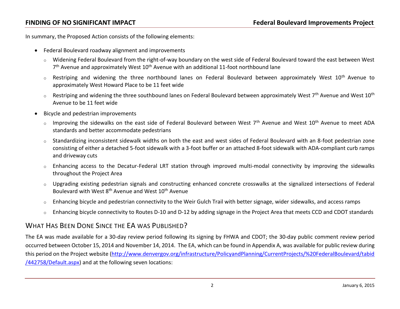In summary, the Proposed Action consists of the following elements:

- Federal Boulevard roadway alignment and improvements
	- o Widening Federal Boulevard from the right-of-way boundary on the west side of Federal Boulevard toward the east between West 7<sup>th</sup> Avenue and approximately West 10<sup>th</sup> Avenue with an additional 11-foot northbound lane
	- o Restriping and widening the three northbound lanes on Federal Boulevard between approximately West 10<sup>th</sup> Avenue to approximately West Howard Place to be 11 feet wide
	- $\circ$  Restriping and widening the three southbound lanes on Federal Boulevard between approximately West 7<sup>th</sup> Avenue and West 10<sup>th</sup> Avenue to be 11 feet wide
- Bicycle and pedestrian improvements
	- $\circ$  Improving the sidewalks on the east side of Federal Boulevard between West 7<sup>th</sup> Avenue and West 10<sup>th</sup> Avenue to meet ADA standards and better accommodate pedestrians
	- o Standardizing inconsistent sidewalk widths on both the east and west sides of Federal Boulevard with an 8-foot pedestrian zone consisting of either a detached 5-foot sidewalk with a 3-foot buffer or an attached 8-foot sidewalk with ADA-compliant curb ramps and driveway cuts
	- o Enhancing access to the Decatur-Federal LRT station through improved multi-modal connectivity by improving the sidewalks throughout the Project Area
	- Upgrading existing pedestrian signals and constructing enhanced concrete crosswalks at the signalized intersections of Federal Boulevard with West 8<sup>th</sup> Avenue and West 10<sup>th</sup> Avenue
	- $\circ$  Enhancing bicycle and pedestrian connectivity to the Weir Gulch Trail with better signage, wider sidewalks, and access ramps
	- $\circ$  Enhancing bicycle connectivity to Routes D-10 and D-12 by adding signage in the Project Area that meets CCD and CDOT standards

### <span id="page-7-0"></span>WHAT HAS BEEN DONE SINCE THE FA WAS PUBLISHED?

The EA was made available for a 30-day review period following its signing by FHWA and CDOT; the 30-day public comment review period occurred between October 15, 2014 and November 14, 2014. The EA, which can be found in Appendix A, was available for public review during this period on the Project website [\(http://www.denvergov.org/infrastructure/PolicyandPlanning/CurrentProjects/%20FederalBoulevard/tabid](http://www.denvergov.org/infrastructure/PolicyandPlanning/CurrentProjects/%20FederalBoulevard/tabid/442758/Default.aspx) [/442758/Default.aspx\)](http://www.denvergov.org/infrastructure/PolicyandPlanning/CurrentProjects/%20FederalBoulevard/tabid/442758/Default.aspx) and at the following seven locations: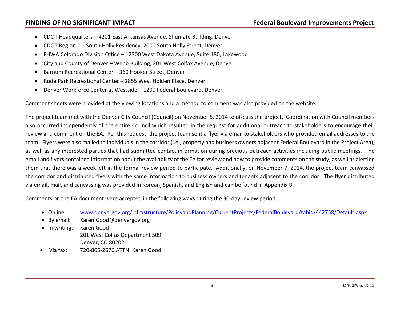- CDOT Headquarters 4201 East Arkansas Avenue, Shumate Building, Denver
- CDOT Region 1 South Holly Residency, 2000 South Holly Street, Denver
- FHWA Colorado Division Office 12300 West Dakota Avenue, Suite 180, Lakewood
- City and County of Denver Webb Building, 201 West Colfax Avenue, Denver
- Barnum Recreational Center 360 Hooker Street, Denver
- Rude Park Recreational Center 2855 West Holden Place, Denver
- Denver Workforce Center at Westside 1200 Federal Boulevard, Denver

Comment sheets were provided at the viewing locations and a method to comment was also provided on the website.

The project team met with the Denver City Council (Council) on November 5, 2014 to discuss the project. Coordination with Council members also occurred independently of the entire Council which resulted in the request for additional outreach to stakeholders to encourage their review and comment on the EA. Per this request, the project team sent a flyer via email to stakeholders who provided email addresses to the team. Flyers were also mailed to individuals in the corridor (i.e., property and business owners adjacent Federal Boulevard in the Project Area), as well as any interested parties that had submitted contact information during previous outreach activities including public meetings. The email and flyers contained information about the availability of the EA for review and how to provide comments on the study, as well as alerting them that there was a week left in the formal review period to participate. Additionally, on November 7, 2014, the project team canvassed the corridor and distributed flyers with the same information to business owners and tenants adjacent to the corridor. The flyer distributed via email, mail, and canvassing was provided in Korean, Spanish, and English and can be found in Appendix B.

Comments on the EA document were accepted in the following ways during the 30-day review period:

- Online: [www.denvergov.org/infrastructure/PolicyandPlanning/CurrentProjects/FederalBoulevard/tabid/442758/Default.aspx](http://www.denvergov.org/infrastructure/PolicyandPlanning/CurrentProjects/FederalBoulevard/tabid/442758/Default.aspx)
- By email: [Karen.Good@denvergov.org](mailto:Karen.Good@denvergov.org)
- In writing: Karen Good 201 West Colfax Department 509 Denver, CO 80202
- Via fax: 720-865-2676 ATTN: Karen Good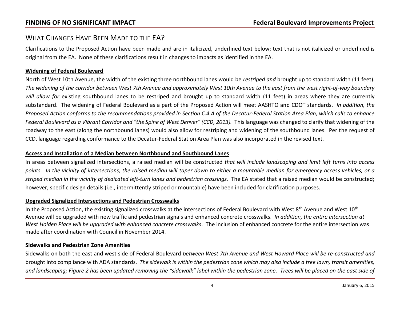### <span id="page-9-0"></span>WHAT CHANGES HAVE BEEN MADE TO THE EA?

Clarifications to the Proposed Action have been made and are in italicized, underlined text below; text that is not italicized or underlined is original from the EA. None of these clarifications result in changes to impacts as identified in the EA.

### **Widening of Federal Boulevard**

North of West 10th Avenue, the width of the existing three northbound lanes would be *restriped and* brought up to standard width (11 feet). *The widening of the corridor between West 7th Avenue and approximately West 10th Avenue to the east from the west right-of-way boundary will allow for* existing southbound lanes to be restriped and brought up to standard width (11 feet) in areas where they are currently substandard. The widening of Federal Boulevard as a part of the Proposed Action will meet AASHTO and CDOT standards. *In addition, the Proposed Action conforms to the recommendations provided in Section C.4.A of the Decatur-Federal Station Area Plan, which calls to enhance Federal Boulevard as a Vibrant Corridor and "the Spine of West Denver" (CCD, 2013).* This language was changed to clarify that widening of the roadway to the east (along the northbound lanes) would also allow for restriping and widening of the southbound lanes. Per the request of CCD, language regarding conformance to the Decatur-Federal Station Area Plan was also incorporated in the revised text.

### **Access and Installation of a Median between Northbound and Southbound Lanes**

In areas between signalized intersections, a raised median will be constructed *that will include landscaping and limit left turns into access points. In the vicinity of intersections, the raised median will taper down to either a mountable median for emergency access vehicles, or a striped median in the vicinity of dedicated left-turn lanes and pedestrian crossings.* The EA stated that a raised median would be constructed; however, specific design details (i.e., intermittently striped or mountable) have been included for clarification purposes.

### **Upgraded Signalized Intersections and Pedestrian Crosswalks**

In the Proposed Action, the existing signalized crosswalks at the intersections of Federal Boulevard with West  $8<sup>th</sup>$  Avenue and West  $10<sup>th</sup>$ Avenue will be upgraded with new traffic and pedestrian signals and enhanced concrete crosswalks. *In addition, the entire intersection at West Holden Place will be upgraded with enhanced concrete crosswalks*. The inclusion of enhanced concrete for the entire intersection was made after coordination with Council in November 2014.

### **Sidewalks and Pedestrian Zone Amenities**

Sidewalks on both the east and west side of Federal Boulevard *between West 7th Avenue and West Howard Place will be re-constructed and* brought into compliance with ADA standards. *The sidewalk is within the pedestrian zone which may also include a tree lawn, transit amenities, and landscaping; Figure 2 has been updated removing the "sidewalk" label within the pedestrian zone. Trees will be placed on the east side of*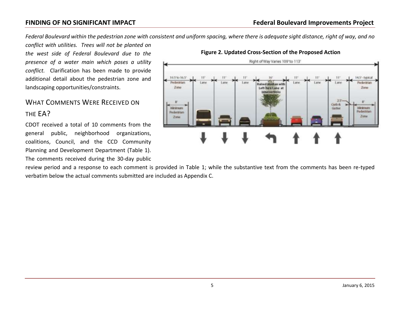*Federal Boulevard within the pedestrian zone with consistent and uniform spacing, where there is adequate sight distance, right of way, and no* 

*conflict with utilities. Trees will not be planted on the west side of Federal Boulevard due to the presence of a water main which poses a utility conflict.* Clarification has been made to provide additional detail about the pedestrian zone and landscaping opportunities/constraints.

## <span id="page-10-0"></span>WHAT COMMENTS WERE RECEIVED ON THE EA?

CDOT received a total of 10 comments from the general public, neighborhood organizations, coalitions, Council, and the CCD Community Planning and Development Department (Table 1). The comments received during the 30-day public



### **Figure 2. Updated Cross-Section of the Proposed Action**

review period and a response to each comment is provided in Table 1; while the substantive text from the comments has been re-typed verbatim below the actual comments submitted are included as Appendix C.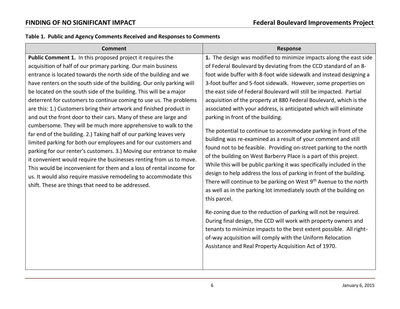### <span id="page-11-0"></span>**Table 1. Public and Agency Comments Received and Responses to Comments**

| <b>Comment</b>                                                                                                                                                                                                                                                                                                                                                                                                                                                                                                                                                                                                                                                                                                                                                                                                                                                                                                                                                                                                                                                                                                                | <b>Response</b>                                                                                                                                                                                                                                                                                                                                                                                                                                                                                                                                                                                                                                                                                                                                                                                                                                                                                                                                                                                                                                                                                                                                                                                                                                                                                                                                                                                                                                                                   |
|-------------------------------------------------------------------------------------------------------------------------------------------------------------------------------------------------------------------------------------------------------------------------------------------------------------------------------------------------------------------------------------------------------------------------------------------------------------------------------------------------------------------------------------------------------------------------------------------------------------------------------------------------------------------------------------------------------------------------------------------------------------------------------------------------------------------------------------------------------------------------------------------------------------------------------------------------------------------------------------------------------------------------------------------------------------------------------------------------------------------------------|-----------------------------------------------------------------------------------------------------------------------------------------------------------------------------------------------------------------------------------------------------------------------------------------------------------------------------------------------------------------------------------------------------------------------------------------------------------------------------------------------------------------------------------------------------------------------------------------------------------------------------------------------------------------------------------------------------------------------------------------------------------------------------------------------------------------------------------------------------------------------------------------------------------------------------------------------------------------------------------------------------------------------------------------------------------------------------------------------------------------------------------------------------------------------------------------------------------------------------------------------------------------------------------------------------------------------------------------------------------------------------------------------------------------------------------------------------------------------------------|
| Public Comment 1. In this proposed project it requires the<br>acquisition of half of our primary parking. Our main business<br>entrance is located towards the north side of the building and we<br>have renters on the south side of the building. Our only parking will<br>be located on the south side of the building. This will be a major<br>deterrent for customers to continue coming to use us. The problems<br>are this: 1.) Customers bring their artwork and finished product in<br>and out the front door to their cars. Many of these are large and<br>cumbersome. They will be much more apprehensive to walk to the<br>far end of the building. 2.) Taking half of our parking leaves very<br>limited parking for both our employees and for our customers and<br>parking for our renter's customers. 3.) Moving our entrance to make<br>it convenient would require the businesses renting from us to move.<br>This would be inconvenient for them and a loss of rental income for<br>us. It would also require massive remodeling to accommodate this<br>shift. These are things that need to be addressed. | 1. The design was modified to minimize impacts along the east side<br>of Federal Boulevard by deviating from the CCD standard of an 8-<br>foot wide buffer with 8-foot wide sidewalk and instead designing a<br>3-foot buffer and 5-foot sidewalk. However, some properties on<br>the east side of Federal Boulevard will still be impacted. Partial<br>acquisition of the property at 880 Federal Boulevard, which is the<br>associated with your address, is anticipated which will eliminate<br>parking in front of the building.<br>The potential to continue to accommodate parking in front of the<br>building was re-examined as a result of your comment and still<br>found not to be feasible. Providing on-street parking to the north<br>of the building on West Barberry Place is a part of this project.<br>While this will be public parking it was specifically included in the<br>design to help address the loss of parking in front of the building.<br>There will continue to be parking on West 9 <sup>th</sup> Avenue to the north<br>as well as in the parking lot immediately south of the building on<br>this parcel.<br>Re-zoning due to the reduction of parking will not be required.<br>During final design, the CCD will work with property owners and<br>tenants to minimize impacts to the best extent possible. All right-<br>of-way acquisition will comply with the Uniform Relocation<br>Assistance and Real Property Acquisition Act of 1970. |
|                                                                                                                                                                                                                                                                                                                                                                                                                                                                                                                                                                                                                                                                                                                                                                                                                                                                                                                                                                                                                                                                                                                               |                                                                                                                                                                                                                                                                                                                                                                                                                                                                                                                                                                                                                                                                                                                                                                                                                                                                                                                                                                                                                                                                                                                                                                                                                                                                                                                                                                                                                                                                                   |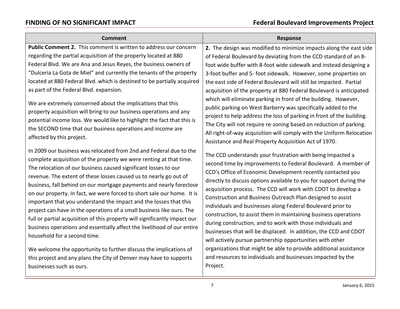| <b>Comment</b>                                                                                                                                                                                                                                                                                                                                                                                                                                                                                                                                                                                                                                                                                                                                                                                                                                | <b>Response</b>                                                                                                                                                                                                                                                                                                                                                                                                                                                                                                                                                                                                                                                                                                                                                                                                                                                        |
|-----------------------------------------------------------------------------------------------------------------------------------------------------------------------------------------------------------------------------------------------------------------------------------------------------------------------------------------------------------------------------------------------------------------------------------------------------------------------------------------------------------------------------------------------------------------------------------------------------------------------------------------------------------------------------------------------------------------------------------------------------------------------------------------------------------------------------------------------|------------------------------------------------------------------------------------------------------------------------------------------------------------------------------------------------------------------------------------------------------------------------------------------------------------------------------------------------------------------------------------------------------------------------------------------------------------------------------------------------------------------------------------------------------------------------------------------------------------------------------------------------------------------------------------------------------------------------------------------------------------------------------------------------------------------------------------------------------------------------|
| Public Comment 2. This comment is written to address our concern<br>regarding the partial acquisition of the property located at 880<br>Federal Blvd. We are Ana and Jesus Reyes, the business owners of<br>"Dulceria La Gota de Miel" and currently the tenants of the property<br>located at 880 Federal Blvd. which is destined to be partially acquired<br>as part of the Federal Blvd. expansion.<br>We are extremely concerned about the implications that this<br>property acquisition will bring to our business operations and any<br>potential income loss. We would like to highlight the fact that this is<br>the SECOND time that our business operations and income are<br>affected by this project.                                                                                                                            | 2. The design was modified to minimize impacts along the east side<br>of Federal Boulevard by deviating from the CCD standard of an 8-<br>foot wide buffer with 8-foot wide sidewalk and instead designing a<br>3-foot buffer and 5- foot sidewalk. However, some properties on<br>the east side of Federal Boulevard will still be impacted. Partial<br>acquisition of the property at 880 Federal Boulevard is anticipated<br>which will eliminate parking in front of the building. However,<br>public parking on West Barberry was specifically added to the<br>project to help address the loss of parking in front of the building.<br>The City will not require re-zoning based on reduction of parking.<br>All right-of-way acquisition will comply with the Uniform Relocation<br>Assistance and Real Property Acquisition Act of 1970.                       |
| In 2009 our business was relocated from 2nd and Federal due to the<br>complete acquisition of the property we were renting at that time.<br>The relocation of our business caused significant losses to our<br>revenue. The extent of these losses caused us to nearly go out of<br>business, fall behind on our mortgage payments and nearly foreclose<br>on our property. In fact, we were forced to short sale our home. It is<br>important that you understand the impact and the losses that this<br>project can have in the operations of a small business like ours. The<br>full or partial acquisition of this property will significantly impact our<br>business operations and essentially affect the livelihood of our entire<br>household for a second time.<br>We welcome the opportunity to further discuss the implications of | The CCD understands your frustration with being impacted a<br>second time by improvements to Federal Boulevard. A member of<br>CCD's Office of Economic Development recently contacted you<br>directly to discuss options available to you for support during the<br>acquisition process. The CCD will work with CDOT to develop a<br>Construction and Business Outreach Plan designed to assist<br>individuals and businesses along Federal Boulevard prior to<br>construction, to assist them in maintaining business operations<br>during construction, and to work with those individuals and<br>businesses that will be displaced. In addition, the CCD and CDOT<br>will actively pursue partnership opportunities with other<br>organizations that might be able to provide additional assistance<br>and resources to individuals and businesses impacted by the |
| this project and any plans the City of Denver may have to supports<br>businesses such as ours.                                                                                                                                                                                                                                                                                                                                                                                                                                                                                                                                                                                                                                                                                                                                                | Project.                                                                                                                                                                                                                                                                                                                                                                                                                                                                                                                                                                                                                                                                                                                                                                                                                                                               |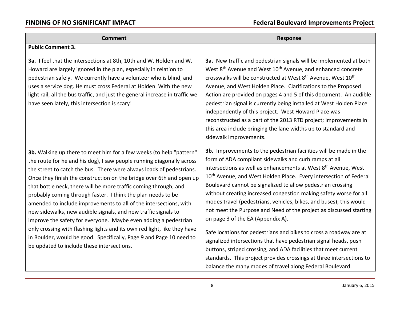| <b>Comment</b>                                                                                                                                                                                                                                                                                                                                                                                                                                                                                                                                                                                                                                                                                                                                                                                                                              | <b>Response</b>                                                                                                                                                                                                                                                                                                                                                                                                                                                                                                                                                                                                                                                                                                                                                                                                                                                                                                                                                  |
|---------------------------------------------------------------------------------------------------------------------------------------------------------------------------------------------------------------------------------------------------------------------------------------------------------------------------------------------------------------------------------------------------------------------------------------------------------------------------------------------------------------------------------------------------------------------------------------------------------------------------------------------------------------------------------------------------------------------------------------------------------------------------------------------------------------------------------------------|------------------------------------------------------------------------------------------------------------------------------------------------------------------------------------------------------------------------------------------------------------------------------------------------------------------------------------------------------------------------------------------------------------------------------------------------------------------------------------------------------------------------------------------------------------------------------------------------------------------------------------------------------------------------------------------------------------------------------------------------------------------------------------------------------------------------------------------------------------------------------------------------------------------------------------------------------------------|
| <b>Public Comment 3.</b>                                                                                                                                                                                                                                                                                                                                                                                                                                                                                                                                                                                                                                                                                                                                                                                                                    |                                                                                                                                                                                                                                                                                                                                                                                                                                                                                                                                                                                                                                                                                                                                                                                                                                                                                                                                                                  |
| 3a. I feel that the intersections at 8th, 10th and W. Holden and W.<br>Howard are largely ignored in the plan, especially in relation to<br>pedestrian safely. We currently have a volunteer who is blind, and<br>uses a service dog. He must cross Federal at Holden. With the new<br>light rail, all the bus traffic, and just the general increase in traffic we<br>have seen lately, this intersection is scary!                                                                                                                                                                                                                                                                                                                                                                                                                        | 3a. New traffic and pedestrian signals will be implemented at both<br>West 8 <sup>th</sup> Avenue and West 10 <sup>th</sup> Avenue, and enhanced concrete<br>crosswalks will be constructed at West 8 <sup>th</sup> Avenue, West 10 <sup>th</sup><br>Avenue, and West Holden Place. Clarifications to the Proposed<br>Action are provided on pages 4 and 5 of this document. An audible<br>pedestrian signal is currently being installed at West Holden Place<br>independently of this project. West Howard Place was<br>reconstructed as a part of the 2013 RTD project; improvements in<br>this area include bringing the lane widths up to standard and<br>sidewalk improvements.                                                                                                                                                                                                                                                                            |
| 3b. Walking up there to meet him for a few weeks (to help "pattern"<br>the route for he and his dog), I saw people running diagonally across<br>the street to catch the bus. There were always loads of pedestrians.<br>Once they finish the construction on the bridge over 6th and open up<br>that bottle neck, there will be more traffic coming through, and<br>probably coming through faster. I think the plan needs to be<br>amended to include improvements to all of the intersections, with<br>new sidewalks, new audible signals, and new traffic signals to<br>improve the safety for everyone. Maybe even adding a pedestrian<br>only crossing with flashing lights and its own red light, like they have<br>in Boulder, would be good. Specifically, Page 9 and Page 10 need to<br>be updated to include these intersections. | 3b. Improvements to the pedestrian facilities will be made in the<br>form of ADA compliant sidewalks and curb ramps at all<br>intersections as well as enhancements at West 8 <sup>th</sup> Avenue, West<br>10 <sup>th</sup> Avenue, and West Holden Place. Every intersection of Federal<br>Boulevard cannot be signalized to allow pedestrian crossing<br>without creating increased congestion making safety worse for all<br>modes travel (pedestrians, vehicles, bikes, and buses); this would<br>not meet the Purpose and Need of the project as discussed starting<br>on page 3 of the EA (Appendix A).<br>Safe locations for pedestrians and bikes to cross a roadway are at<br>signalized intersections that have pedestrian signal heads, push<br>buttons, striped crossing, and ADA facilities that meet current<br>standards. This project provides crossings at three intersections to<br>balance the many modes of travel along Federal Boulevard. |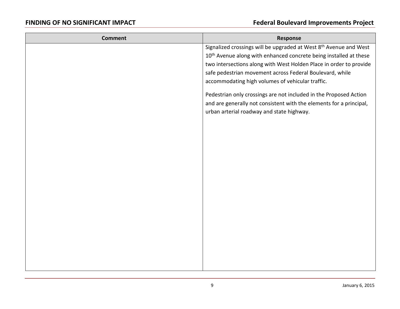| <b>Comment</b> | Response                                                                      |
|----------------|-------------------------------------------------------------------------------|
|                | Signalized crossings will be upgraded at West 8 <sup>th</sup> Avenue and West |
|                | 10 <sup>th</sup> Avenue along with enhanced concrete being installed at these |
|                | two intersections along with West Holden Place in order to provide            |
|                | safe pedestrian movement across Federal Boulevard, while                      |
|                | accommodating high volumes of vehicular traffic.                              |
|                | Pedestrian only crossings are not included in the Proposed Action             |
|                | and are generally not consistent with the elements for a principal,           |
|                | urban arterial roadway and state highway.                                     |
|                |                                                                               |
|                |                                                                               |
|                |                                                                               |
|                |                                                                               |
|                |                                                                               |
|                |                                                                               |
|                |                                                                               |
|                |                                                                               |
|                |                                                                               |
|                |                                                                               |
|                |                                                                               |
|                |                                                                               |
|                |                                                                               |
|                |                                                                               |
|                |                                                                               |
|                |                                                                               |
|                |                                                                               |
|                |                                                                               |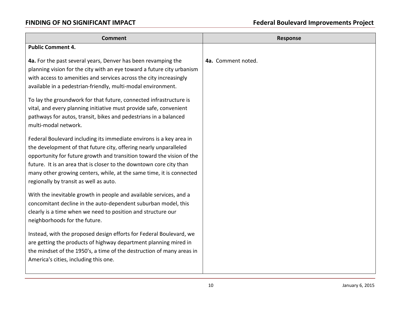| <b>Comment</b>                                                                                                                                                                                                                                                                                                                                                                                             | <b>Response</b>    |
|------------------------------------------------------------------------------------------------------------------------------------------------------------------------------------------------------------------------------------------------------------------------------------------------------------------------------------------------------------------------------------------------------------|--------------------|
| <b>Public Comment 4.</b>                                                                                                                                                                                                                                                                                                                                                                                   |                    |
| 4a. For the past several years, Denver has been revamping the<br>planning vision for the city with an eye toward a future city urbanism<br>with access to amenities and services across the city increasingly<br>available in a pedestrian-friendly, multi-modal environment.                                                                                                                              | 4a. Comment noted. |
| To lay the groundwork for that future, connected infrastructure is<br>vital, and every planning initiative must provide safe, convenient<br>pathways for autos, transit, bikes and pedestrians in a balanced<br>multi-modal network.                                                                                                                                                                       |                    |
| Federal Boulevard including its immediate environs is a key area in<br>the development of that future city, offering nearly unparalleled<br>opportunity for future growth and transition toward the vision of the<br>future. It is an area that is closer to the downtown core city than<br>many other growing centers, while, at the same time, it is connected<br>regionally by transit as well as auto. |                    |
| With the inevitable growth in people and available services, and a<br>concomitant decline in the auto-dependent suburban model, this<br>clearly is a time when we need to position and structure our<br>neighborhoods for the future.                                                                                                                                                                      |                    |
| Instead, with the proposed design efforts for Federal Boulevard, we<br>are getting the products of highway department planning mired in<br>the mindset of the 1950's, a time of the destruction of many areas in<br>America's cities, including this one.                                                                                                                                                  |                    |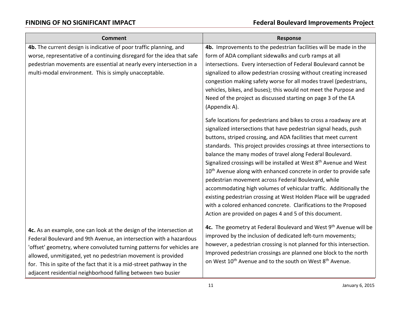| <b>Comment</b>                                                         | <b>Response</b>                                                                                                                      |
|------------------------------------------------------------------------|--------------------------------------------------------------------------------------------------------------------------------------|
| 4b. The current design is indicative of poor traffic planning, and     | 4b. Improvements to the pedestrian facilities will be made in the                                                                    |
| worse, representative of a continuing disregard for the idea that safe | form of ADA compliant sidewalks and curb ramps at all                                                                                |
| pedestrian movements are essential at nearly every intersection in a   | intersections. Every intersection of Federal Boulevard cannot be                                                                     |
| multi-modal environment. This is simply unacceptable.                  | signalized to allow pedestrian crossing without creating increased                                                                   |
|                                                                        | congestion making safety worse for all modes travel (pedestrians,                                                                    |
|                                                                        | vehicles, bikes, and buses); this would not meet the Purpose and<br>Need of the project as discussed starting on page 3 of the EA    |
|                                                                        | (Appendix A).                                                                                                                        |
|                                                                        |                                                                                                                                      |
|                                                                        | Safe locations for pedestrians and bikes to cross a roadway are at                                                                   |
|                                                                        | signalized intersections that have pedestrian signal heads, push                                                                     |
|                                                                        | buttons, striped crossing, and ADA facilities that meet current                                                                      |
|                                                                        | standards. This project provides crossings at three intersections to                                                                 |
|                                                                        | balance the many modes of travel along Federal Boulevard.                                                                            |
|                                                                        | Signalized crossings will be installed at West 8 <sup>th</sup> Avenue and West                                                       |
|                                                                        | 10 <sup>th</sup> Avenue along with enhanced concrete in order to provide safe<br>pedestrian movement across Federal Boulevard, while |
|                                                                        | accommodating high volumes of vehicular traffic. Additionally the                                                                    |
|                                                                        | existing pedestrian crossing at West Holden Place will be upgraded                                                                   |
|                                                                        | with a colored enhanced concrete. Clarifications to the Proposed                                                                     |
|                                                                        | Action are provided on pages 4 and 5 of this document.                                                                               |
|                                                                        |                                                                                                                                      |
| 4c. As an example, one can look at the design of the intersection at   | 4c. The geometry at Federal Boulevard and West 9 <sup>th</sup> Avenue will be                                                        |
| Federal Boulevard and 9th Avenue, an intersection with a hazardous     | improved by the inclusion of dedicated left-turn movements;                                                                          |
| 'offset' geometry, where convoluted turning patterns for vehicles are  | however, a pedestrian crossing is not planned for this intersection.                                                                 |
| allowed, unmitigated, yet no pedestrian movement is provided           | Improved pedestrian crossings are planned one block to the north                                                                     |
| for. This in spite of the fact that it is a mid-street pathway in the  | on West 10 <sup>th</sup> Avenue and to the south on West 8 <sup>th</sup> Avenue.                                                     |
| adjacent residential neighborhood falling between two busier           |                                                                                                                                      |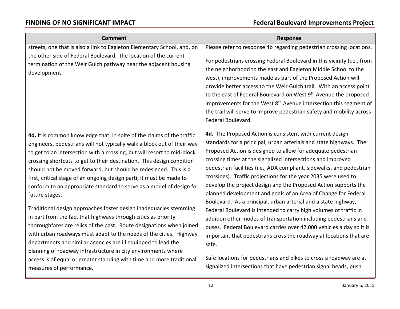| <b>Comment</b>                                                                                                                                                                                                                                                                                                                                                                                                                                                                                                                                                                                                                                                                                                                                                                                                                                                                                    | <b>Response</b>                                                                                                                                                                                                                                                                                                                                                                                                                                                                                                                                                                                                                                                                                                                                                                                                                                                                                                  |
|---------------------------------------------------------------------------------------------------------------------------------------------------------------------------------------------------------------------------------------------------------------------------------------------------------------------------------------------------------------------------------------------------------------------------------------------------------------------------------------------------------------------------------------------------------------------------------------------------------------------------------------------------------------------------------------------------------------------------------------------------------------------------------------------------------------------------------------------------------------------------------------------------|------------------------------------------------------------------------------------------------------------------------------------------------------------------------------------------------------------------------------------------------------------------------------------------------------------------------------------------------------------------------------------------------------------------------------------------------------------------------------------------------------------------------------------------------------------------------------------------------------------------------------------------------------------------------------------------------------------------------------------------------------------------------------------------------------------------------------------------------------------------------------------------------------------------|
| streets, one that is also a link to Eagleton Elementary School, and, on                                                                                                                                                                                                                                                                                                                                                                                                                                                                                                                                                                                                                                                                                                                                                                                                                           | Please refer to response 4b regarding pedestrian crossing locations.                                                                                                                                                                                                                                                                                                                                                                                                                                                                                                                                                                                                                                                                                                                                                                                                                                             |
| the other side of Federal Boulevard, the location of the current<br>termination of the Weir Gulch pathway near the adjacent housing<br>development.                                                                                                                                                                                                                                                                                                                                                                                                                                                                                                                                                                                                                                                                                                                                               | For pedestrians crossing Federal Boulevard in this vicinity (i.e., from<br>the neighborhood to the east and Eagleton Middle School to the<br>west), improvements made as part of the Proposed Action will<br>provide better access to the Weir Gulch trail. With an access point<br>to the east of Federal Boulevard on West 9 <sup>th</sup> Avenue the proposed<br>improvements for the West 8 <sup>th</sup> Avenue intersection this segment of<br>the trail will serve to improve pedestrian safety and mobility across<br>Federal Boulevard.                                                                                                                                                                                                                                                                                                                                                                 |
| 4d. It is common knowledge that, in spite of the claims of the traffic<br>engineers, pedestrians will not typically walk a block out of their way<br>to get to an intersection with a crossing, but will resort to mid-block<br>crossing shortcuts to get to their destination. This design condition<br>should not be moved forward, but should be redesigned. This is a<br>first, critical stage of an ongoing design parti; it must be made to<br>conform to an appropriate standard to serve as a model of design for<br>future stages.<br>Traditional design approaches foster design inadequacies stemming<br>in part from the fact that highways through cities as priority<br>thoroughfares are relics of the past. Route designations when joined<br>with urban roadways must adapt to the needs of the cities. Highway<br>departments and similar agencies are ill equipped to lead the | 4d. The Proposed Action is consistent with current design<br>standards for a principal, urban arterials and state highways. The<br>Proposed Action is designed to allow for adequate pedestrian<br>crossing times at the signalized intersections and improved<br>pedestrian facilities (i.e., ADA compliant, sidewalks, and pedestrian<br>crossings). Traffic projections for the year 2035 were used to<br>develop the project design and the Proposed Action supports the<br>planned development and goals of an Area of Change for Federal<br>Boulevard. As a principal, urban arterial and a state highway,<br>Federal Boulevard is intended to carry high volumes of traffic in<br>addition other modes of transportation including pedestrians and<br>buses. Federal Boulevard carries over 42,000 vehicles a day so it is<br>important that pedestrians cross the roadway at locations that are<br>safe. |
| planning of roadway infrastructure in city environments where<br>access is of equal or greater standing with time and more traditional<br>measures of performance.                                                                                                                                                                                                                                                                                                                                                                                                                                                                                                                                                                                                                                                                                                                                | Safe locations for pedestrians and bikes to cross a roadway are at<br>signalized intersections that have pedestrian signal heads, push                                                                                                                                                                                                                                                                                                                                                                                                                                                                                                                                                                                                                                                                                                                                                                           |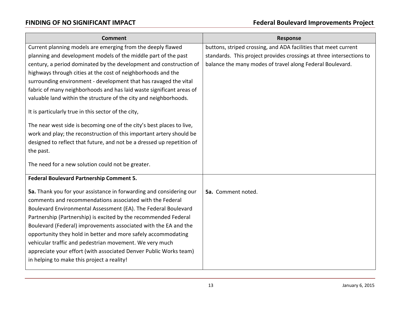| <b>Comment</b>                                                                                                                                                                                                                                                                                                                                                                                                                                                                                                                                                                         | <b>Response</b>                                                      |
|----------------------------------------------------------------------------------------------------------------------------------------------------------------------------------------------------------------------------------------------------------------------------------------------------------------------------------------------------------------------------------------------------------------------------------------------------------------------------------------------------------------------------------------------------------------------------------------|----------------------------------------------------------------------|
| Current planning models are emerging from the deeply flawed                                                                                                                                                                                                                                                                                                                                                                                                                                                                                                                            | buttons, striped crossing, and ADA facilities that meet current      |
| planning and development models of the middle part of the past                                                                                                                                                                                                                                                                                                                                                                                                                                                                                                                         | standards. This project provides crossings at three intersections to |
| century, a period dominated by the development and construction of                                                                                                                                                                                                                                                                                                                                                                                                                                                                                                                     | balance the many modes of travel along Federal Boulevard.            |
| highways through cities at the cost of neighborhoods and the                                                                                                                                                                                                                                                                                                                                                                                                                                                                                                                           |                                                                      |
| surrounding environment - development that has ravaged the vital                                                                                                                                                                                                                                                                                                                                                                                                                                                                                                                       |                                                                      |
| fabric of many neighborhoods and has laid waste significant areas of                                                                                                                                                                                                                                                                                                                                                                                                                                                                                                                   |                                                                      |
| valuable land within the structure of the city and neighborhoods.                                                                                                                                                                                                                                                                                                                                                                                                                                                                                                                      |                                                                      |
| It is particularly true in this sector of the city,                                                                                                                                                                                                                                                                                                                                                                                                                                                                                                                                    |                                                                      |
| The near west side is becoming one of the city's best places to live,                                                                                                                                                                                                                                                                                                                                                                                                                                                                                                                  |                                                                      |
| work and play; the reconstruction of this important artery should be                                                                                                                                                                                                                                                                                                                                                                                                                                                                                                                   |                                                                      |
| designed to reflect that future, and not be a dressed up repetition of                                                                                                                                                                                                                                                                                                                                                                                                                                                                                                                 |                                                                      |
| the past.                                                                                                                                                                                                                                                                                                                                                                                                                                                                                                                                                                              |                                                                      |
| The need for a new solution could not be greater.                                                                                                                                                                                                                                                                                                                                                                                                                                                                                                                                      |                                                                      |
| Federal Boulevard Partnership Comment 5.                                                                                                                                                                                                                                                                                                                                                                                                                                                                                                                                               |                                                                      |
| 5a. Thank you for your assistance in forwarding and considering our<br>comments and recommendations associated with the Federal<br>Boulevard Environmental Assessment (EA). The Federal Boulevard<br>Partnership (Partnership) is excited by the recommended Federal<br>Boulevard (Federal) improvements associated with the EA and the<br>opportunity they hold in better and more safely accommodating<br>vehicular traffic and pedestrian movement. We very much<br>appreciate your effort (with associated Denver Public Works team)<br>in helping to make this project a reality! | 5a. Comment noted.                                                   |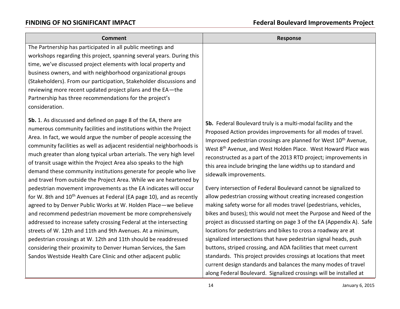| The Partnership has participated in all public meetings and<br>workshops regarding this project, spanning several years. During this<br>time, we've discussed project elements with local property and<br>business owners, and with neighborhood organizational groups                                                                                                                                                                                                                                                                                                                                                                                                                                                                                                                                                                                                                                                                                                                                                                                                                                                                                                                                                        |                                                                                                                                                                                                                                                                                                                                                                                                                                                                                                                                                                                                                                                                                                                                                                                                                                                                                                                                                                                                                                                                      |
|-------------------------------------------------------------------------------------------------------------------------------------------------------------------------------------------------------------------------------------------------------------------------------------------------------------------------------------------------------------------------------------------------------------------------------------------------------------------------------------------------------------------------------------------------------------------------------------------------------------------------------------------------------------------------------------------------------------------------------------------------------------------------------------------------------------------------------------------------------------------------------------------------------------------------------------------------------------------------------------------------------------------------------------------------------------------------------------------------------------------------------------------------------------------------------------------------------------------------------|----------------------------------------------------------------------------------------------------------------------------------------------------------------------------------------------------------------------------------------------------------------------------------------------------------------------------------------------------------------------------------------------------------------------------------------------------------------------------------------------------------------------------------------------------------------------------------------------------------------------------------------------------------------------------------------------------------------------------------------------------------------------------------------------------------------------------------------------------------------------------------------------------------------------------------------------------------------------------------------------------------------------------------------------------------------------|
| (Stakeholders). From our participation, Stakeholder discussions and<br>reviewing more recent updated project plans and the EA-the<br>Partnership has three recommendations for the project's<br>consideration.                                                                                                                                                                                                                                                                                                                                                                                                                                                                                                                                                                                                                                                                                                                                                                                                                                                                                                                                                                                                                |                                                                                                                                                                                                                                                                                                                                                                                                                                                                                                                                                                                                                                                                                                                                                                                                                                                                                                                                                                                                                                                                      |
| 5b. 1. As discussed and defined on page 8 of the EA, there are<br>numerous community facilities and institutions within the Project<br>Area. In fact, we would argue the number of people accessing the<br>community facilities as well as adjacent residential neighborhoods is<br>much greater than along typical urban arterials. The very high level<br>of transit usage within the Project Area also speaks to the high<br>demand these community institutions generate for people who live<br>sidewalk improvements.<br>and travel from outside the Project Area. While we are heartened by<br>pedestrian movement improvements as the EA indicates will occur<br>for W. 8th and 10 <sup>th</sup> Avenues at Federal (EA page 10), and as recently<br>agreed to by Denver Public Works at W. Holden Place-we believe<br>and recommend pedestrian movement be more comprehensively<br>addressed to increase safety crossing Federal at the intersecting<br>streets of W. 12th and 11th and 9th Avenues. At a minimum,<br>pedestrian crossings at W. 12th and 11th should be readdressed<br>considering their proximity to Denver Human Services, the Sam<br>Sandos Westside Health Care Clinic and other adjacent public | 5b. Federal Boulevard truly is a multi-modal facility and the<br>Proposed Action provides improvements for all modes of travel.<br>Improved pedestrian crossings are planned for West 10 <sup>th</sup> Avenue,<br>West 8 <sup>th</sup> Avenue, and West Holden Place. West Howard Place was<br>reconstructed as a part of the 2013 RTD project; improvements in<br>this area include bringing the lane widths up to standard and<br>Every intersection of Federal Boulevard cannot be signalized to<br>allow pedestrian crossing without creating increased congestion<br>making safety worse for all modes travel (pedestrians, vehicles,<br>bikes and buses); this would not meet the Purpose and Need of the<br>project as discussed starting on page 3 of the EA (Appendix A). Safe<br>locations for pedestrians and bikes to cross a roadway are at<br>signalized intersections that have pedestrian signal heads, push<br>buttons, striped crossing, and ADA facilities that meet current<br>standards. This project provides crossings at locations that meet |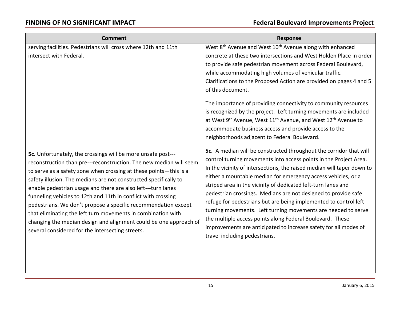| <b>Comment</b>                                                                                                                                                                                                                                                                                                                                                                                                                                                                                                                                                                                                                                                          | <b>Response</b>                                                                                                                                                                                                                                                                                                                                                                                                                                                                                                                                                                                                                                                                                                                     |
|-------------------------------------------------------------------------------------------------------------------------------------------------------------------------------------------------------------------------------------------------------------------------------------------------------------------------------------------------------------------------------------------------------------------------------------------------------------------------------------------------------------------------------------------------------------------------------------------------------------------------------------------------------------------------|-------------------------------------------------------------------------------------------------------------------------------------------------------------------------------------------------------------------------------------------------------------------------------------------------------------------------------------------------------------------------------------------------------------------------------------------------------------------------------------------------------------------------------------------------------------------------------------------------------------------------------------------------------------------------------------------------------------------------------------|
| serving facilities. Pedestrians will cross where 12th and 11th<br>intersect with Federal.                                                                                                                                                                                                                                                                                                                                                                                                                                                                                                                                                                               | West 8 <sup>th</sup> Avenue and West 10 <sup>th</sup> Avenue along with enhanced<br>concrete at these two intersections and West Holden Place in order<br>to provide safe pedestrian movement across Federal Boulevard,<br>while accommodating high volumes of vehicular traffic.<br>Clarifications to the Proposed Action are provided on pages 4 and 5<br>of this document.<br>The importance of providing connectivity to community resources<br>is recognized by the project. Left turning movements are included<br>at West 9 <sup>th</sup> Avenue, West 11 <sup>th</sup> Avenue, and West 12 <sup>th</sup> Avenue to<br>accommodate business access and provide access to the<br>neighborhoods adjacent to Federal Boulevard. |
| 5c. Unfortunately, the crossings will be more unsafe post---<br>reconstruction than pre---reconstruction. The new median will seem<br>to serve as a safety zone when crossing at these points-this is a<br>safety illusion. The medians are not constructed specifically to<br>enable pedestrian usage and there are also left---turn lanes<br>funneling vehicles to 12th and 11th in conflict with crossing<br>pedestrians. We don't propose a specific recommendation except<br>that eliminating the left turn movements in combination with<br>changing the median design and alignment could be one approach of<br>several considered for the intersecting streets. | 5c. A median will be constructed throughout the corridor that will<br>control turning movements into access points in the Project Area.<br>In the vicinity of intersections, the raised median will taper down to<br>either a mountable median for emergency access vehicles, or a<br>striped area in the vicinity of dedicated left-turn lanes and<br>pedestrian crossings. Medians are not designed to provide safe<br>refuge for pedestrians but are being implemented to control left<br>turning movements. Left turning movements are needed to serve<br>the multiple access points along Federal Boulevard. These<br>improvements are anticipated to increase safety for all modes of<br>travel including pedestrians.        |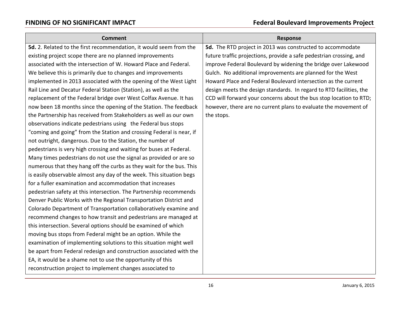| <b>Comment</b>                                                       | <b>Response</b>                                                     |
|----------------------------------------------------------------------|---------------------------------------------------------------------|
| 5d. 2. Related to the first recommendation, it would seem from the   | 5d. The RTD project in 2013 was constructed to accommodate          |
| existing project scope there are no planned improvements             | future traffic projections, provide a safe pedestrian crossing, and |
| associated with the intersection of W. Howard Place and Federal.     | improve Federal Boulevard by widening the bridge over Lakewood      |
| We believe this is primarily due to changes and improvements         | Gulch. No additional improvements are planned for the West          |
| implemented in 2013 associated with the opening of the West Light    | Howard Place and Federal Boulevard intersection as the current      |
| Rail Line and Decatur Federal Station (Station), as well as the      | design meets the design standards. In regard to RTD facilities, the |
| replacement of the Federal bridge over West Colfax Avenue. It has    | CCD will forward your concerns about the bus stop location to RTD;  |
| now been 18 months since the opening of the Station. The feedback    | however, there are no current plans to evaluate the movement of     |
| the Partnership has received from Stakeholders as well as our own    | the stops.                                                          |
| observations indicate pedestrians using the Federal bus stops        |                                                                     |
| "coming and going" from the Station and crossing Federal is near, if |                                                                     |
| not outright, dangerous. Due to the Station, the number of           |                                                                     |
| pedestrians is very high crossing and waiting for buses at Federal.  |                                                                     |
| Many times pedestrians do not use the signal as provided or are so   |                                                                     |
| numerous that they hang off the curbs as they wait for the bus. This |                                                                     |
| is easily observable almost any day of the week. This situation begs |                                                                     |
| for a fuller examination and accommodation that increases            |                                                                     |
| pedestrian safety at this intersection. The Partnership recommends   |                                                                     |
| Denver Public Works with the Regional Transportation District and    |                                                                     |
| Colorado Department of Transportation collaboratively examine and    |                                                                     |
| recommend changes to how transit and pedestrians are managed at      |                                                                     |
| this intersection. Several options should be examined of which       |                                                                     |
| moving bus stops from Federal might be an option. While the          |                                                                     |
| examination of implementing solutions to this situation might well   |                                                                     |
| be apart from Federal redesign and construction associated with the  |                                                                     |
| EA, it would be a shame not to use the opportunity of this           |                                                                     |
| reconstruction project to implement changes associated to            |                                                                     |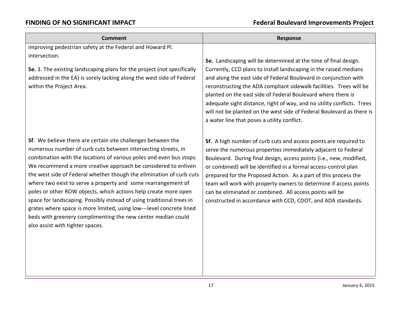| <b>Comment</b>                                                                                                                                                                                                                                                                                                                                                                                                                                                                                                                                                                                                                                                                                                                          | <b>Response</b>                                                                                                                                                                                                                                                                                                                                                                                                                                                                                                                                   |
|-----------------------------------------------------------------------------------------------------------------------------------------------------------------------------------------------------------------------------------------------------------------------------------------------------------------------------------------------------------------------------------------------------------------------------------------------------------------------------------------------------------------------------------------------------------------------------------------------------------------------------------------------------------------------------------------------------------------------------------------|---------------------------------------------------------------------------------------------------------------------------------------------------------------------------------------------------------------------------------------------------------------------------------------------------------------------------------------------------------------------------------------------------------------------------------------------------------------------------------------------------------------------------------------------------|
| improving pedestrian safety at the Federal and Howard Pl.                                                                                                                                                                                                                                                                                                                                                                                                                                                                                                                                                                                                                                                                               |                                                                                                                                                                                                                                                                                                                                                                                                                                                                                                                                                   |
| intersection.<br>5e. 3. The existing landscaping plans for the project (not specifically<br>addressed in the EA) is sorely lacking along the west side of Federal<br>within the Project Area.                                                                                                                                                                                                                                                                                                                                                                                                                                                                                                                                           | 5e. Landscaping will be determined at the time of final design.<br>Currently, CCD plans to install landscaping in the raised medians<br>and along the east side of Federal Boulevard in conjunction with<br>reconstructing the ADA compliant sidewalk facilities. Trees will be<br>planted on the east side of Federal Boulevard where there is<br>adequate sight distance, right of way, and no utility conflicts. Trees<br>will not be planted on the west side of Federal Boulevard as there is<br>a water line that poses a utility conflict. |
| 5f. We believe there are certain site challenges between the<br>numerous number of curb cuts between intersecting streets, in<br>combination with the locations of various poles and even bus stops.<br>We recommend a more creative approach be considered to enliven<br>the west side of Federal whether though the elimination of curb cuts<br>where two exist to serve a property and some rearrangement of<br>poles or other ROW objects, which actions help create more open<br>space for landscaping. Possibly instead of using traditional trees in<br>grates where space is more limited, using low---level concrete lined<br>beds with greenery complimenting the new center median could<br>also assist with tighter spaces. | 5f. A high number of curb cuts and access points are required to<br>serve the numerous properties immediately adjacent to Federal<br>Boulevard. During final design, access points (i.e., new, modified,<br>or combined) will be identified in a formal access-control plan<br>prepared for the Proposed Action. As a part of this process the<br>team will work with property owners to determine if access points<br>can be eliminated or combined. All access points will be<br>constructed in accordance with CCD, CDOT, and ADA standards.   |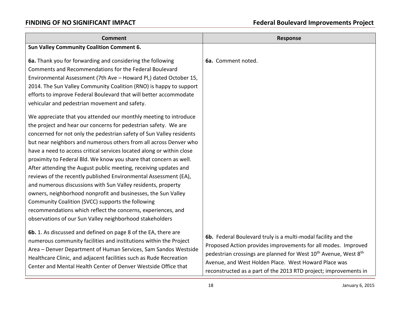| <b>Comment</b>                                                                                                                                                                                                                                                                                                                                                                                                                                                                                                                                                                                                                                                                                                                                                                                                                                                                                                                                                                                                                                                                                                                                                                                                                                                                    | <b>Response</b>                                                                                                                                                                                                                                                                                                                                       |
|-----------------------------------------------------------------------------------------------------------------------------------------------------------------------------------------------------------------------------------------------------------------------------------------------------------------------------------------------------------------------------------------------------------------------------------------------------------------------------------------------------------------------------------------------------------------------------------------------------------------------------------------------------------------------------------------------------------------------------------------------------------------------------------------------------------------------------------------------------------------------------------------------------------------------------------------------------------------------------------------------------------------------------------------------------------------------------------------------------------------------------------------------------------------------------------------------------------------------------------------------------------------------------------|-------------------------------------------------------------------------------------------------------------------------------------------------------------------------------------------------------------------------------------------------------------------------------------------------------------------------------------------------------|
| <b>Sun Valley Community Coalition Comment 6.</b>                                                                                                                                                                                                                                                                                                                                                                                                                                                                                                                                                                                                                                                                                                                                                                                                                                                                                                                                                                                                                                                                                                                                                                                                                                  |                                                                                                                                                                                                                                                                                                                                                       |
| 6a. Thank you for forwarding and considering the following<br>Comments and Recommendations for the Federal Boulevard<br>Environmental Assessment (7th Ave - Howard Pl,) dated October 15,<br>2014. The Sun Valley Community Coalition (RNO) is happy to support<br>efforts to improve Federal Boulevard that will better accommodate<br>vehicular and pedestrian movement and safety.<br>We appreciate that you attended our monthly meeting to introduce<br>the project and hear our concerns for pedestrian safety. We are<br>concerned for not only the pedestrian safety of Sun Valley residents<br>but near neighbors and numerous others from all across Denver who<br>have a need to access critical services located along or within close<br>proximity to Federal Bld. We know you share that concern as well.<br>After attending the August public meeting, receiving updates and<br>reviews of the recently published Environmental Assessment (EA),<br>and numerous discussions with Sun Valley residents, property<br>owners, neighborhood nonprofit and businesses, the Sun Valley<br>Community Coalition (SVCC) supports the following<br>recommendations which reflect the concerns, experiences, and<br>observations of our Sun Valley neighborhood stakeholders | 6a. Comment noted.                                                                                                                                                                                                                                                                                                                                    |
| 6b. 1. As discussed and defined on page 8 of the EA, there are<br>numerous community facilities and institutions within the Project<br>Area - Denver Department of Human Services, Sam Sandos Westside<br>Healthcare Clinic, and adjacent facilities such as Rude Recreation<br>Center and Mental Health Center of Denver Westside Office that                                                                                                                                                                                                                                                                                                                                                                                                                                                                                                                                                                                                                                                                                                                                                                                                                                                                                                                                    | 6b. Federal Boulevard truly is a multi-modal facility and the<br>Proposed Action provides improvements for all modes. Improved<br>pedestrian crossings are planned for West 10 <sup>th</sup> Avenue, West 8 <sup>th</sup><br>Avenue, and West Holden Place. West Howard Place was<br>reconstructed as a part of the 2013 RTD project; improvements in |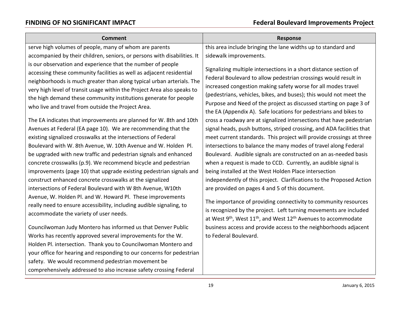comprehensively addressed to also increase safety crossing Federal

| <b>Comment</b>                                                                                                                                                                                                                                                                                                                                                                                                                                                                                                                                                                                                                                                                                                                                                                                  | <b>Response</b>                                                                                                                                                                                                                                                                                                                                                                                                                                                                                                                                                                                                                                                                                                                                                                                                                                                  |
|-------------------------------------------------------------------------------------------------------------------------------------------------------------------------------------------------------------------------------------------------------------------------------------------------------------------------------------------------------------------------------------------------------------------------------------------------------------------------------------------------------------------------------------------------------------------------------------------------------------------------------------------------------------------------------------------------------------------------------------------------------------------------------------------------|------------------------------------------------------------------------------------------------------------------------------------------------------------------------------------------------------------------------------------------------------------------------------------------------------------------------------------------------------------------------------------------------------------------------------------------------------------------------------------------------------------------------------------------------------------------------------------------------------------------------------------------------------------------------------------------------------------------------------------------------------------------------------------------------------------------------------------------------------------------|
| serve high volumes of people, many of whom are parents                                                                                                                                                                                                                                                                                                                                                                                                                                                                                                                                                                                                                                                                                                                                          | this area include bringing the lane widths up to standard and                                                                                                                                                                                                                                                                                                                                                                                                                                                                                                                                                                                                                                                                                                                                                                                                    |
| accompanied by their children, seniors, or persons with disabilities. It                                                                                                                                                                                                                                                                                                                                                                                                                                                                                                                                                                                                                                                                                                                        | sidewalk improvements.                                                                                                                                                                                                                                                                                                                                                                                                                                                                                                                                                                                                                                                                                                                                                                                                                                           |
| is our observation and experience that the number of people<br>accessing these community facilities as well as adjacent residential<br>neighborhoods is much greater than along typical urban arterials. The<br>very high level of transit usage within the Project Area also speaks to<br>the high demand these community institutions generate for people<br>who live and travel from outside the Project Area.                                                                                                                                                                                                                                                                                                                                                                               | Signalizing multiple intersections in a short distance section of<br>Federal Boulevard to allow pedestrian crossings would result in<br>increased congestion making safety worse for all modes travel<br>(pedestrians, vehicles, bikes, and buses); this would not meet the<br>Purpose and Need of the project as discussed starting on page 3 of<br>the EA (Appendix A). Safe locations for pedestrians and bikes to                                                                                                                                                                                                                                                                                                                                                                                                                                            |
| The EA indicates that improvements are planned for W. 8th and 10th<br>Avenues at Federal (EA page 10). We are recommending that the<br>existing signalized crosswalks at the intersections of Federal<br>Boulevard with W. 8th Avenue, W. 10th Avenue and W. Holden Pl.<br>be upgraded with new traffic and pedestrian signals and enhanced<br>concrete crosswalks (p.9). We recommend bicycle and pedestrian<br>improvements (page 10) that upgrade existing pedestrian signals and<br>construct enhanced concrete crosswalks at the signalized<br>intersections of Federal Boulevard with W 8th Avenue, W10th<br>Avenue, W. Holden Pl. and W. Howard Pl. These improvements<br>really need to ensure accessibility, including audible signaling, to<br>accommodate the variety of user needs. | cross a roadway are at signalized intersections that have pedestrian<br>signal heads, push buttons, striped crossing, and ADA facilities that<br>meet current standards. This project will provide crossings at three<br>intersections to balance the many modes of travel along Federal<br>Boulevard. Audible signals are constructed on an as-needed basis<br>when a request is made to CCD. Currently, an audible signal is<br>being installed at the West Holden Place intersection<br>independently of this project. Clarifications to the Proposed Action<br>are provided on pages 4 and 5 of this document.<br>The importance of providing connectivity to community resources<br>is recognized by the project. Left turning movements are included<br>at West 9 <sup>th</sup> , West 11 <sup>th</sup> , and West 12 <sup>th</sup> Avenues to accommodate |
| Councilwoman Judy Montero has informed us that Denver Public<br>Works has recently approved several improvements for the W.<br>Holden Pl. intersection. Thank you to Councilwoman Montero and<br>your office for hearing and responding to our concerns for pedestrian<br>safety. We would recommend pedestrian movement be                                                                                                                                                                                                                                                                                                                                                                                                                                                                     | business access and provide access to the neighborhoods adjacent<br>to Federal Boulevard.                                                                                                                                                                                                                                                                                                                                                                                                                                                                                                                                                                                                                                                                                                                                                                        |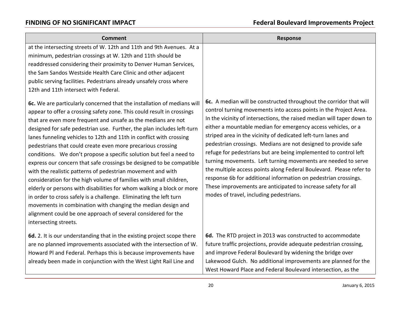| <b>Comment</b>                                                                                                                                                                                                                                                                                                                                                                                                                                                                                                                                                                                                                                                                                                                                                                                                                                                                                                                                                                                                                                                                                                                                                                                                                                                                                                                                                                                                                | <b>Response</b>                                                                                                                                                                                                                                                                                                                                                                                                                                                                                                                                                                                                                                                                                                                                                                                                  |
|-------------------------------------------------------------------------------------------------------------------------------------------------------------------------------------------------------------------------------------------------------------------------------------------------------------------------------------------------------------------------------------------------------------------------------------------------------------------------------------------------------------------------------------------------------------------------------------------------------------------------------------------------------------------------------------------------------------------------------------------------------------------------------------------------------------------------------------------------------------------------------------------------------------------------------------------------------------------------------------------------------------------------------------------------------------------------------------------------------------------------------------------------------------------------------------------------------------------------------------------------------------------------------------------------------------------------------------------------------------------------------------------------------------------------------|------------------------------------------------------------------------------------------------------------------------------------------------------------------------------------------------------------------------------------------------------------------------------------------------------------------------------------------------------------------------------------------------------------------------------------------------------------------------------------------------------------------------------------------------------------------------------------------------------------------------------------------------------------------------------------------------------------------------------------------------------------------------------------------------------------------|
| at the intersecting streets of W. 12th and 11th and 9th Avenues. At a<br>minimum, pedestrian crossings at W. 12th and 11th should be<br>readdressed considering their proximity to Denver Human Services,<br>the Sam Sandos Westside Health Care Clinic and other adjacent<br>public serving facilities. Pedestrians already unsafely cross where<br>12th and 11th intersect with Federal.<br>6c. We are particularly concerned that the installation of medians will<br>appear to offer a crossing safety zone. This could result in crossings<br>that are even more frequent and unsafe as the medians are not<br>designed for safe pedestrian use. Further, the plan includes left-turn<br>lanes funneling vehicles to 12th and 11th in conflict with crossing<br>pedestrians that could create even more precarious crossing<br>conditions. We don't propose a specific solution but feel a need to<br>express our concern that safe crossings be designed to be compatible<br>with the realistic patterns of pedestrian movement and with<br>consideration for the high volume of families with small children,<br>elderly or persons with disabilities for whom walking a block or more<br>in order to cross safely is a challenge. Eliminating the left turn<br>movements in combination with changing the median design and<br>alignment could be one approach of several considered for the<br>intersecting streets. | 6c. A median will be constructed throughout the corridor that will<br>control turning movements into access points in the Project Area.<br>In the vicinity of intersections, the raised median will taper down to<br>either a mountable median for emergency access vehicles, or a<br>striped area in the vicinity of dedicated left-turn lanes and<br>pedestrian crossings. Medians are not designed to provide safe<br>refuge for pedestrians but are being implemented to control left<br>turning movements. Left turning movements are needed to serve<br>the multiple access points along Federal Boulevard. Please refer to<br>response 6b for additional information on pedestrian crossings.<br>These improvements are anticipated to increase safety for all<br>modes of travel, including pedestrians. |
| 6d. 2. It is our understanding that in the existing project scope there<br>are no planned improvements associated with the intersection of W.<br>Howard PI and Federal. Perhaps this is because improvements have<br>already been made in conjunction with the West Light Rail Line and                                                                                                                                                                                                                                                                                                                                                                                                                                                                                                                                                                                                                                                                                                                                                                                                                                                                                                                                                                                                                                                                                                                                       | 6d. The RTD project in 2013 was constructed to accommodate<br>future traffic projections, provide adequate pedestrian crossing,<br>and improve Federal Boulevard by widening the bridge over<br>Lakewood Gulch. No additional improvements are planned for the<br>West Howard Place and Federal Boulevard intersection, as the                                                                                                                                                                                                                                                                                                                                                                                                                                                                                   |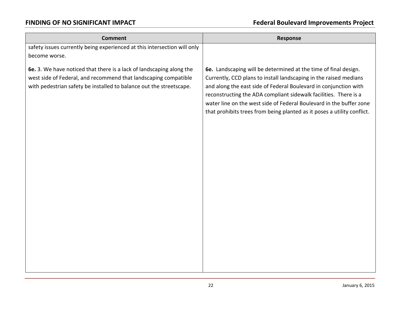| <b>Comment</b>                                                                                                                                                                                                 | <b>Response</b>                                                                                                                                                                                                                                                                                                                                                                                                                |
|----------------------------------------------------------------------------------------------------------------------------------------------------------------------------------------------------------------|--------------------------------------------------------------------------------------------------------------------------------------------------------------------------------------------------------------------------------------------------------------------------------------------------------------------------------------------------------------------------------------------------------------------------------|
| safety issues currently being experienced at this intersection will only                                                                                                                                       |                                                                                                                                                                                                                                                                                                                                                                                                                                |
| become worse.                                                                                                                                                                                                  |                                                                                                                                                                                                                                                                                                                                                                                                                                |
| 6e. 3. We have noticed that there is a lack of landscaping along the<br>west side of Federal, and recommend that landscaping compatible<br>with pedestrian safety be installed to balance out the streetscape. | 6e. Landscaping will be determined at the time of final design.<br>Currently, CCD plans to install landscaping in the raised medians<br>and along the east side of Federal Boulevard in conjunction with<br>reconstructing the ADA compliant sidewalk facilities. There is a<br>water line on the west side of Federal Boulevard in the buffer zone<br>that prohibits trees from being planted as it poses a utility conflict. |
|                                                                                                                                                                                                                |                                                                                                                                                                                                                                                                                                                                                                                                                                |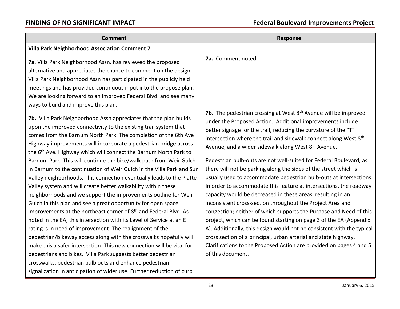| <b>Comment</b>                                                                                                                                                                                                                                                                                                                                                                                                                                                                                                                                                                                                                                                                                                                                                                                                                                                                                                                                                                                              | <b>Response</b>                                                                                                                                                                                                                                                                                                                                                                                                                                                                                                                                                                                                                                                                                                                                                                                                                                                                                                                                                                                          |
|-------------------------------------------------------------------------------------------------------------------------------------------------------------------------------------------------------------------------------------------------------------------------------------------------------------------------------------------------------------------------------------------------------------------------------------------------------------------------------------------------------------------------------------------------------------------------------------------------------------------------------------------------------------------------------------------------------------------------------------------------------------------------------------------------------------------------------------------------------------------------------------------------------------------------------------------------------------------------------------------------------------|----------------------------------------------------------------------------------------------------------------------------------------------------------------------------------------------------------------------------------------------------------------------------------------------------------------------------------------------------------------------------------------------------------------------------------------------------------------------------------------------------------------------------------------------------------------------------------------------------------------------------------------------------------------------------------------------------------------------------------------------------------------------------------------------------------------------------------------------------------------------------------------------------------------------------------------------------------------------------------------------------------|
| Villa Park Neighborhood Association Comment 7.                                                                                                                                                                                                                                                                                                                                                                                                                                                                                                                                                                                                                                                                                                                                                                                                                                                                                                                                                              |                                                                                                                                                                                                                                                                                                                                                                                                                                                                                                                                                                                                                                                                                                                                                                                                                                                                                                                                                                                                          |
| 7a. Villa Park Neighborhood Assn. has reviewed the proposed<br>alternative and appreciates the chance to comment on the design.<br>Villa Park Neighborhood Assn has participated in the publicly held<br>meetings and has provided continuous input into the propose plan.<br>We are looking forward to an improved Federal Blvd. and see many<br>ways to build and improve this plan.                                                                                                                                                                                                                                                                                                                                                                                                                                                                                                                                                                                                                      | 7a. Comment noted.                                                                                                                                                                                                                                                                                                                                                                                                                                                                                                                                                                                                                                                                                                                                                                                                                                                                                                                                                                                       |
| 7b. Villa Park Neighborhood Assn appreciates that the plan builds<br>upon the improved connectivity to the existing trail system that<br>comes from the Barnum North Park. The completion of the 6th Ave<br>Highway improvements will incorporate a pedestrian bridge across<br>the 6 <sup>th</sup> Ave. Highway which will connect the Barnum North Park to<br>Barnum Park. This will continue the bike/walk path from Weir Gulch<br>in Barnum to the continuation of Weir Gulch in the Villa Park and Sun<br>Valley neighborhoods. This connection eventually leads to the Platte<br>Valley system and will create better walkability within these<br>neighborhoods and we support the improvements outline for Weir<br>Gulch in this plan and see a great opportunity for open space<br>improvements at the northeast corner of 8 <sup>th</sup> and Federal Blvd. As<br>noted in the EA, this intersection with its Level of Service at an E<br>rating is in need of improvement. The realignment of the | 7b. The pedestrian crossing at West 8 <sup>th</sup> Avenue will be improved<br>under the Proposed Action. Additional improvements include<br>better signage for the trail, reducing the curvature of the "T"<br>intersection where the trail and sidewalk connect along West 8 <sup>th</sup><br>Avenue, and a wider sidewalk along West 8 <sup>th</sup> Avenue.<br>Pedestrian bulb-outs are not well-suited for Federal Boulevard, as<br>there will not be parking along the sides of the street which is<br>usually used to accommodate pedestrian bulb-outs at intersections.<br>In order to accommodate this feature at intersections, the roadway<br>capacity would be decreased in these areas, resulting in an<br>inconsistent cross-section throughout the Project Area and<br>congestion; neither of which supports the Purpose and Need of this<br>project, which can be found starting on page 3 of the EA (Appendix<br>A). Additionally, this design would not be consistent with the typical |
| pedestrian/bikeway access along with the crosswalks hopefully will<br>make this a safer intersection. This new connection will be vital for<br>pedestrians and bikes. Villa Park suggests better pedestrian<br>crosswalks, pedestrian bulb outs and enhance pedestrian<br>signalization in anticipation of wider use. Further reduction of curb                                                                                                                                                                                                                                                                                                                                                                                                                                                                                                                                                                                                                                                             | cross section of a principal, urban arterial and state highway.<br>Clarifications to the Proposed Action are provided on pages 4 and 5<br>of this document.                                                                                                                                                                                                                                                                                                                                                                                                                                                                                                                                                                                                                                                                                                                                                                                                                                              |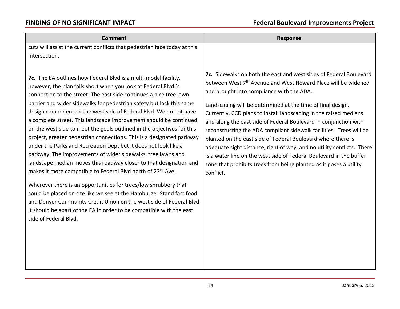| <b>Comment</b>                                                                                                                                                                                                                                                                                                                                                                                                                                                                                                                                                                                                                                                                                                                                                                                                                                                                                                                                                                                                                                                                                                                                                         | <b>Response</b>                                                                                                                                                                                                                                                                                                                                                                                                                                                                                                                                                                                                                                                                                                                                                                 |
|------------------------------------------------------------------------------------------------------------------------------------------------------------------------------------------------------------------------------------------------------------------------------------------------------------------------------------------------------------------------------------------------------------------------------------------------------------------------------------------------------------------------------------------------------------------------------------------------------------------------------------------------------------------------------------------------------------------------------------------------------------------------------------------------------------------------------------------------------------------------------------------------------------------------------------------------------------------------------------------------------------------------------------------------------------------------------------------------------------------------------------------------------------------------|---------------------------------------------------------------------------------------------------------------------------------------------------------------------------------------------------------------------------------------------------------------------------------------------------------------------------------------------------------------------------------------------------------------------------------------------------------------------------------------------------------------------------------------------------------------------------------------------------------------------------------------------------------------------------------------------------------------------------------------------------------------------------------|
| cuts will assist the current conflicts that pedestrian face today at this                                                                                                                                                                                                                                                                                                                                                                                                                                                                                                                                                                                                                                                                                                                                                                                                                                                                                                                                                                                                                                                                                              |                                                                                                                                                                                                                                                                                                                                                                                                                                                                                                                                                                                                                                                                                                                                                                                 |
| intersection.                                                                                                                                                                                                                                                                                                                                                                                                                                                                                                                                                                                                                                                                                                                                                                                                                                                                                                                                                                                                                                                                                                                                                          |                                                                                                                                                                                                                                                                                                                                                                                                                                                                                                                                                                                                                                                                                                                                                                                 |
| 7c. The EA outlines how Federal Blvd is a multi-modal facility,<br>however, the plan falls short when you look at Federal Blvd.'s<br>connection to the street. The east side continues a nice tree lawn<br>barrier and wider sidewalks for pedestrian safety but lack this same<br>design component on the west side of Federal Blvd. We do not have<br>a complete street. This landscape improvement should be continued<br>on the west side to meet the goals outlined in the objectives for this<br>project, greater pedestrian connections. This is a designated parkway<br>under the Parks and Recreation Dept but it does not look like a<br>parkway. The improvements of wider sidewalks, tree lawns and<br>landscape median moves this roadway closer to that designation and<br>makes it more compatible to Federal Blvd north of 23rd Ave.<br>Wherever there is an opportunities for trees/low shrubbery that<br>could be placed on site like we see at the Hamburger Stand fast food<br>and Denver Community Credit Union on the west side of Federal Blvd<br>it should be apart of the EA in order to be compatible with the east<br>side of Federal Blvd. | 7c. Sidewalks on both the east and west sides of Federal Boulevard<br>between West 7 <sup>th</sup> Avenue and West Howard Place will be widened<br>and brought into compliance with the ADA.<br>Landscaping will be determined at the time of final design.<br>Currently, CCD plans to install landscaping in the raised medians<br>and along the east side of Federal Boulevard in conjunction with<br>reconstructing the ADA compliant sidewalk facilities. Trees will be<br>planted on the east side of Federal Boulevard where there is<br>adequate sight distance, right of way, and no utility conflicts. There<br>is a water line on the west side of Federal Boulevard in the buffer<br>zone that prohibits trees from being planted as it poses a utility<br>conflict. |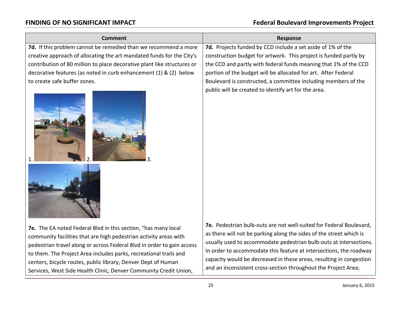| <b>Comment</b>                                                                                                                                                                                                                                                                                                                                                                                                           | <b>Response</b>                                                                                                                                                                                                                                                                                                                                                                                                                 |
|--------------------------------------------------------------------------------------------------------------------------------------------------------------------------------------------------------------------------------------------------------------------------------------------------------------------------------------------------------------------------------------------------------------------------|---------------------------------------------------------------------------------------------------------------------------------------------------------------------------------------------------------------------------------------------------------------------------------------------------------------------------------------------------------------------------------------------------------------------------------|
| 7d. If this problem cannot be remedied than we recommend a more                                                                                                                                                                                                                                                                                                                                                          | 7d. Projects funded by CCD include a set aside of 1% of the                                                                                                                                                                                                                                                                                                                                                                     |
| creative approach of allocating the art mandated funds for the City's                                                                                                                                                                                                                                                                                                                                                    | construction budget for artwork. This project is funded partly by                                                                                                                                                                                                                                                                                                                                                               |
| contribution of 80 million to place decorative plant like structures or                                                                                                                                                                                                                                                                                                                                                  | the CCD and partly with federal funds meaning that 1% of the CCD                                                                                                                                                                                                                                                                                                                                                                |
| decorative features (as noted in curb enhancement (1) & (2) below                                                                                                                                                                                                                                                                                                                                                        | portion of the budget will be allocated for art. After Federal                                                                                                                                                                                                                                                                                                                                                                  |
| to create safe buffer zones.                                                                                                                                                                                                                                                                                                                                                                                             | Boulevard is constructed, a committee including members of the                                                                                                                                                                                                                                                                                                                                                                  |
|                                                                                                                                                                                                                                                                                                                                                                                                                          | public will be created to identify art for the area.                                                                                                                                                                                                                                                                                                                                                                            |
|                                                                                                                                                                                                                                                                                                                                                                                                                          |                                                                                                                                                                                                                                                                                                                                                                                                                                 |
| 7e. The EA noted Federal Blvd in this section, "has many local<br>community facilities that are high pedestrian activity areas with<br>pedestrian travel along or across Federal Blvd in order to gain access<br>to them. The Project Area includes parks, recreational trails and<br>centers, bicycle routes, public library, Denver Dept of Human<br>Services, West Side Health Clinic, Denver Community Credit Union, | 7e. Pedestrian bulb-outs are not well-suited for Federal Boulevard,<br>as there will not be parking along the sides of the street which is<br>usually used to accommodate pedestrian bulb-outs at intersections.<br>In order to accommodate this feature at intersections, the roadway<br>capacity would be decreased in these areas, resulting in congestion<br>and an inconsistent cross-section throughout the Project Area; |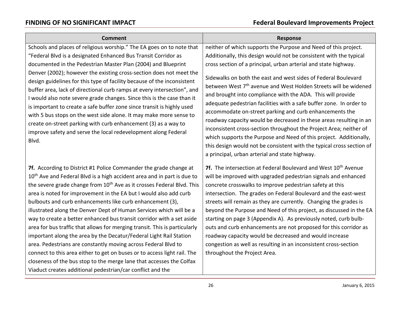| <b>Comment</b>                                                                                                                                                                                                                                                                                                                                                                                                                                                                                                                                                                                                                                                                                                                                                                                                                                                                                                                                                           | <b>Response</b>                                                                                                                                                                                                                                                                                                                                                                                                                                                                                                                                                                                                                                                                                                   |
|--------------------------------------------------------------------------------------------------------------------------------------------------------------------------------------------------------------------------------------------------------------------------------------------------------------------------------------------------------------------------------------------------------------------------------------------------------------------------------------------------------------------------------------------------------------------------------------------------------------------------------------------------------------------------------------------------------------------------------------------------------------------------------------------------------------------------------------------------------------------------------------------------------------------------------------------------------------------------|-------------------------------------------------------------------------------------------------------------------------------------------------------------------------------------------------------------------------------------------------------------------------------------------------------------------------------------------------------------------------------------------------------------------------------------------------------------------------------------------------------------------------------------------------------------------------------------------------------------------------------------------------------------------------------------------------------------------|
| Schools and places of religious worship." The EA goes on to note that                                                                                                                                                                                                                                                                                                                                                                                                                                                                                                                                                                                                                                                                                                                                                                                                                                                                                                    | neither of which supports the Purpose and Need of this project.                                                                                                                                                                                                                                                                                                                                                                                                                                                                                                                                                                                                                                                   |
| "Federal Blvd is a designated Enhanced Bus Transit Corridor as                                                                                                                                                                                                                                                                                                                                                                                                                                                                                                                                                                                                                                                                                                                                                                                                                                                                                                           | Additionally, this design would not be consistent with the typical                                                                                                                                                                                                                                                                                                                                                                                                                                                                                                                                                                                                                                                |
| documented in the Pedestrian Master Plan (2004) and Blueprint                                                                                                                                                                                                                                                                                                                                                                                                                                                                                                                                                                                                                                                                                                                                                                                                                                                                                                            | cross section of a principal, urban arterial and state highway.                                                                                                                                                                                                                                                                                                                                                                                                                                                                                                                                                                                                                                                   |
| Denver (2002); however the existing cross-section does not meet the<br>design guidelines for this type of facility because of the inconsistent<br>buffer area, lack of directional curb ramps at every intersection", and<br>I would also note severe grade changes. Since this is the case than it<br>is important to create a safe buffer zone since transit is highly used<br>with 5 bus stops on the west side alone. It may make more sense to<br>create on-street parking with curb enhancement (3) as a way to<br>improve safety and serve the local redevelopment along Federal<br>Blvd.                                                                                                                                                                                                                                                                                                                                                                         | Sidewalks on both the east and west sides of Federal Boulevard<br>between West 7 <sup>th</sup> avenue and West Holden Streets will be widened<br>and brought into compliance with the ADA. This will provide<br>adequate pedestrian facilities with a safe buffer zone. In order to<br>accommodate on-street parking and curb enhancements the<br>roadway capacity would be decreased in these areas resulting in an<br>inconsistent cross-section throughout the Project Area; neither of<br>which supports the Purpose and Need of this project. Additionally,<br>this design would not be consistent with the typical cross section of<br>a principal, urban arterial and state highway.                       |
| 7f. According to District #1 Police Commander the grade change at<br>10 <sup>th</sup> Ave and Federal Blvd is a high accident area and in part is due to<br>the severe grade change from 10 <sup>th</sup> Ave as it crosses Federal Blvd. This<br>area is noted for improvement in the EA but I would also add curb<br>bulbouts and curb enhancements like curb enhancement (3),<br>illustrated along the Denver Dept of Human Services which will be a<br>way to create a better enhanced bus transit corridor with a set aside<br>area for bus traffic that allows for merging transit. This is particularly<br>important along the area by the Decatur/Federal Light Rail Station<br>area. Pedestrians are constantly moving across Federal Blvd to<br>connect to this area either to get on buses or to access light rail. The<br>closeness of the bus stop to the merge lane that accesses the Colfax<br>Viaduct creates additional pedestrian/car conflict and the | 7f. The intersection at Federal Boulevard and West 10th Avenue<br>will be improved with upgraded pedestrian signals and enhanced<br>concrete crosswalks to improve pedestrian safety at this<br>intersection. The grades on Federal Boulevard and the east-west<br>streets will remain as they are currently. Changing the grades is<br>beyond the Purpose and Need of this project, as discussed in the EA<br>starting on page 3 (Appendix A). As previously noted, curb bulb-<br>outs and curb enhancements are not proposed for this corridor as<br>roadway capacity would be decreased and would increase<br>congestion as well as resulting in an inconsistent cross-section<br>throughout the Project Area. |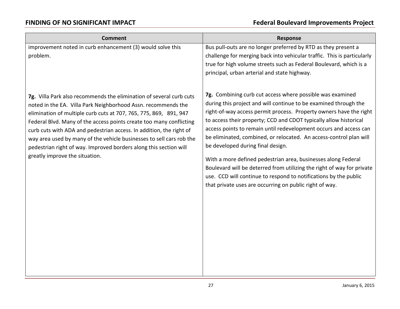| <b>Comment</b>                                                                                                                                                                                                                                                                                                                                                                                                                                                                                       | <b>Response</b>                                                                                                                                                                                                                                                                                                                                                                                                                                          |
|------------------------------------------------------------------------------------------------------------------------------------------------------------------------------------------------------------------------------------------------------------------------------------------------------------------------------------------------------------------------------------------------------------------------------------------------------------------------------------------------------|----------------------------------------------------------------------------------------------------------------------------------------------------------------------------------------------------------------------------------------------------------------------------------------------------------------------------------------------------------------------------------------------------------------------------------------------------------|
| improvement noted in curb enhancement (3) would solve this<br>problem.                                                                                                                                                                                                                                                                                                                                                                                                                               | Bus pull-outs are no longer preferred by RTD as they present a<br>challenge for merging back into vehicular traffic. This is particularly<br>true for high volume streets such as Federal Boulevard, which is a<br>principal, urban arterial and state highway.                                                                                                                                                                                          |
| 7g. Villa Park also recommends the elimination of several curb cuts<br>noted in the EA. Villa Park Neighborhood Assn. recommends the<br>elimination of multiple curb cuts at 707, 765, 775, 869, 891, 947<br>Federal Blvd. Many of the access points create too many conflicting<br>curb cuts with ADA and pedestrian access. In addition, the right of<br>way area used by many of the vehicle businesses to sell cars rob the<br>pedestrian right of way. Improved borders along this section will | 7g. Combining curb cut access where possible was examined<br>during this project and will continue to be examined through the<br>right-of-way access permit process. Property owners have the right<br>to access their property; CCD and CDOT typically allow historical<br>access points to remain until redevelopment occurs and access can<br>be eliminated, combined, or relocated. An access-control plan will<br>be developed during final design. |
| greatly improve the situation.                                                                                                                                                                                                                                                                                                                                                                                                                                                                       | With a more defined pedestrian area, businesses along Federal<br>Boulevard will be deterred from utilizing the right of way for private<br>use. CCD will continue to respond to notifications by the public<br>that private uses are occurring on public right of way.                                                                                                                                                                                   |
|                                                                                                                                                                                                                                                                                                                                                                                                                                                                                                      |                                                                                                                                                                                                                                                                                                                                                                                                                                                          |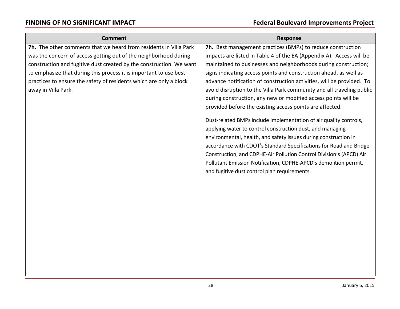| <b>Comment</b>                                                      | <b>Response</b>                                                       |
|---------------------------------------------------------------------|-----------------------------------------------------------------------|
| 7h. The other comments that we heard from residents in Villa Park   | 7h. Best management practices (BMPs) to reduce construction           |
| was the concern of access getting out of the neighborhood during    | impacts are listed in Table 4 of the EA (Appendix A). Access will be  |
| construction and fugitive dust created by the construction. We want | maintained to businesses and neighborhoods during construction;       |
| to emphasize that during this process it is important to use best   | signs indicating access points and construction ahead, as well as     |
| practices to ensure the safety of residents which are only a block  | advance notification of construction activities, will be provided. To |
| away in Villa Park.                                                 | avoid disruption to the Villa Park community and all traveling public |
|                                                                     | during construction, any new or modified access points will be        |
|                                                                     | provided before the existing access points are affected.              |
|                                                                     | Dust-related BMPs include implementation of air quality controls,     |
|                                                                     | applying water to control construction dust, and managing             |
|                                                                     | environmental, health, and safety issues during construction in       |
|                                                                     | accordance with CDOT's Standard Specifications for Road and Bridge    |
|                                                                     | Construction, and CDPHE-Air Pollution Control Division's (APCD) Air   |
|                                                                     | Pollutant Emission Notification, CDPHE-APCD's demolition permit,      |
|                                                                     | and fugitive dust control plan requirements.                          |
|                                                                     |                                                                       |
|                                                                     |                                                                       |
|                                                                     |                                                                       |
|                                                                     |                                                                       |
|                                                                     |                                                                       |
|                                                                     |                                                                       |
|                                                                     |                                                                       |
|                                                                     |                                                                       |
|                                                                     |                                                                       |
|                                                                     |                                                                       |
|                                                                     |                                                                       |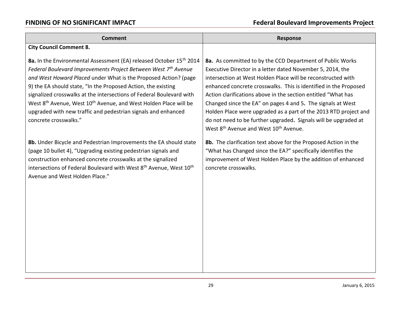| <b>Comment</b>                                                                                                                                                                                                                                                                                                                                                                                                                                                                                                                                      | <b>Response</b>                                                                                                                                                                                                                                                                                                                                                                                                                                                                                                                                                                                     |
|-----------------------------------------------------------------------------------------------------------------------------------------------------------------------------------------------------------------------------------------------------------------------------------------------------------------------------------------------------------------------------------------------------------------------------------------------------------------------------------------------------------------------------------------------------|-----------------------------------------------------------------------------------------------------------------------------------------------------------------------------------------------------------------------------------------------------------------------------------------------------------------------------------------------------------------------------------------------------------------------------------------------------------------------------------------------------------------------------------------------------------------------------------------------------|
| <b>City Council Comment 8.</b>                                                                                                                                                                                                                                                                                                                                                                                                                                                                                                                      |                                                                                                                                                                                                                                                                                                                                                                                                                                                                                                                                                                                                     |
| 8a. In the Environmental Assessment (EA) released October 15 <sup>th</sup> 2014<br>Federal Boulevard Improvements Project Between West 7th Avenue<br>and West Howard Placed under What is the Proposed Action? (page<br>9) the EA should state, "In the Proposed Action, the existing<br>signalized crosswalks at the intersections of Federal Boulevard with<br>West 8 <sup>th</sup> Avenue, West 10 <sup>th</sup> Avenue, and West Holden Place will be<br>upgraded with new traffic and pedestrian signals and enhanced<br>concrete crosswalks." | 8a. As committed to by the CCD Department of Public Works<br>Executive Director in a letter dated November 5, 2014, the<br>intersection at West Holden Place will be reconstructed with<br>enhanced concrete crosswalks. This is identified in the Proposed<br>Action clarifications above in the section entitled "What has<br>Changed since the EA" on pages 4 and 5. The signals at West<br>Holden Place were upgraded as a part of the 2013 RTD project and<br>do not need to be further upgraded. Signals will be upgraded at<br>West 8 <sup>th</sup> Avenue and West 10 <sup>th</sup> Avenue. |
| 8b. Under Bicycle and Pedestrian Improvements the EA should state<br>(page 10 bullet 4), "Upgrading existing pedestrian signals and<br>construction enhanced concrete crosswalks at the signalized<br>intersections of Federal Boulevard with West 8 <sup>th</sup> Avenue, West 10 <sup>th</sup><br>Avenue and West Holden Place."                                                                                                                                                                                                                  | 8b. The clarification text above for the Proposed Action in the<br>"What has Changed since the EA?" specifically identifies the<br>improvement of West Holden Place by the addition of enhanced<br>concrete crosswalks.                                                                                                                                                                                                                                                                                                                                                                             |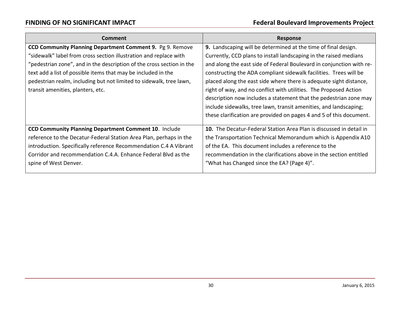| <b>Comment</b>                                                        | <b>Response</b>                                                            |
|-----------------------------------------------------------------------|----------------------------------------------------------------------------|
| CCD Community Planning Department Comment 9. Pg 9. Remove             | 9. Landscaping will be determined at the time of final design.             |
| "sidewalk" label from cross section illustration and replace with     | Currently, CCD plans to install landscaping in the raised medians          |
| "pedestrian zone", and in the description of the cross section in the | and along the east side of Federal Boulevard in conjunction with re-       |
| text add a list of possible items that may be included in the         | constructing the ADA compliant sidewalk facilities. Trees will be          |
| pedestrian realm, including but not limited to sidewalk, tree lawn,   | placed along the east side where there is adequate sight distance,         |
| transit amenities, planters, etc.                                     | right of way, and no conflict with utilities. The Proposed Action          |
|                                                                       | description now includes a statement that the pedestrian zone may          |
|                                                                       | include sidewalks, tree lawn, transit amenities, and landscaping;          |
|                                                                       | these clarification are provided on pages 4 and 5 of this document.        |
|                                                                       |                                                                            |
| <b>CCD Community Planning Department Comment 10. Include</b>          | <b>10.</b> The Decatur-Federal Station Area Plan is discussed in detail in |
| reference to the Decatur-Federal Station Area Plan, perhaps in the    | the Transportation Technical Memorandum which is Appendix A10              |
| introduction. Specifically reference Recommendation C.4 A Vibrant     | of the EA. This document includes a reference to the                       |
| Corridor and recommendation C.4.A. Enhance Federal Blvd as the        | recommendation in the clarifications above in the section entitled         |
| spine of West Denver.                                                 | "What has Changed since the EA? (Page 4)".                                 |
|                                                                       |                                                                            |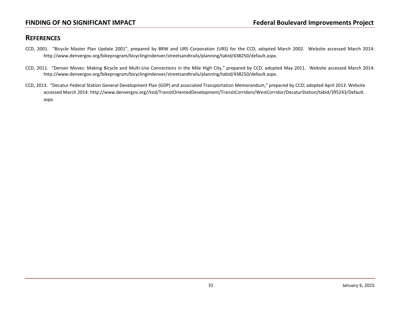### **REFERENCES**

- CCD, 2001. "Bicycle Master Plan Update 2001", prepared by BRW and URS Corporation (URS) for the CCD, adopted March 2002. Website accessed March 2014: [http://www.denvergov.org/bikeprogram/bicyclingindenver/streetsandtrails/planning/tabid/438250/default.aspx.](http://www.denvergov.org/bikeprogram/bicyclingindenver/streetsandtrails/planning/tabid/438250/default.aspx)
- CCD, 2011. "Denver Moves: Making Bicycle and Multi-Use Connections in the Mile High City," prepared by CCD, adopted May 2011. Website accessed March 2014: http://www.denvergov.org/bikeprogram/bicyclingindenver/streetsandtrails/planning/tabid/438250/default.aspx.
- CCD, 2013. "Decatur-Federal Station General Development Plan (GDP) and associated Transportation Memorandum," prepared by CCD; adopted April 2013. Website accessed March 2014: http://www.denvergov.org//tod/TransitOrientedDevelopment/TransitCorridors/WestCorridor/DecaturStation/tabid/395243/Default. aspx.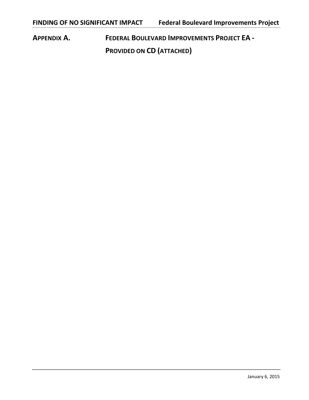**APPENDIX A. FEDERAL BOULEVARD IMPROVEMENTS PROJECT EA - PROVIDED ON CD (ATTACHED)**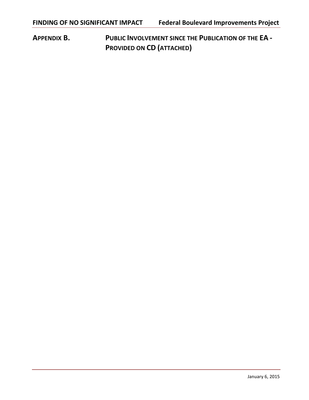**APPENDIX B. PUBLIC INVOLVEMENT SINCE THE PUBLICATION OF THE EA - PROVIDED ON CD (ATTACHED)**